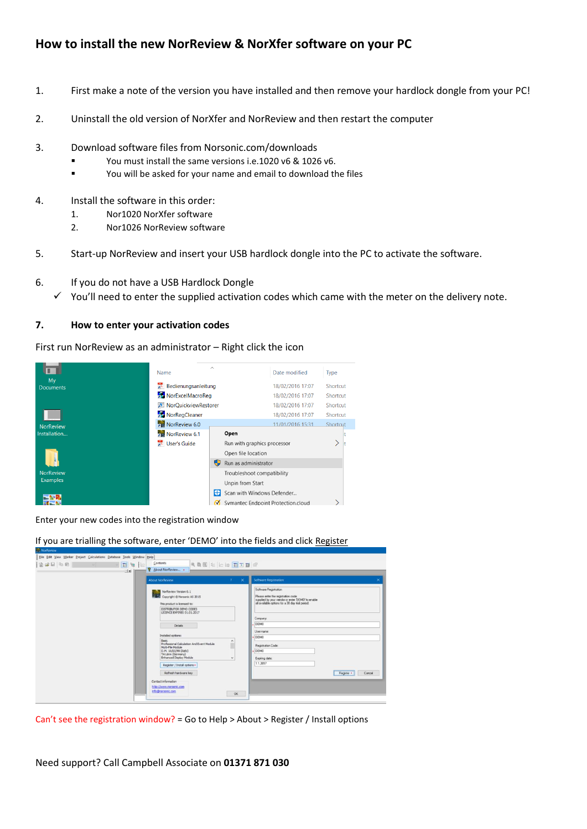## **How to install the new NorReview & NorXfer software on your PC**

- 1. First make a note of the version you have installed and then remove your hardlock dongle from your PC!
- 2. Uninstall the old version of NorXfer and NorReview and then restart the computer
- 3. Download software files from Norsonic.com/downloads
	- You must install the same versions i.e.1020 v6 & 1026 v6.
	- You will be asked for your name and email to download the files
- 4. Install the software in this order:
	- 1. Nor1020 NorXfer software
	- 2. Nor1026 NorReview software
- 5. Start-up NorReview and insert your USB hardlock dongle into the PC to activate the software.
- 6. If you do not have a USB Hardlock Dongle
	- $\checkmark$  You'll need to enter the supplied activation codes which came with the meter on the delivery note.

#### **7. How to enter your activation codes**

First run NorReview as an administrator – Right click the icon



Enter your new codes into the registration window

If you are trialling the software, enter 'DEMO' into the fields and click Register

| <b>About NorReview</b>                                                                                                                                                                                                                                                                                | $\times$<br>$\overline{z}$                 | <b>Software Registration</b><br>×                                                                                                                                                                      |
|-------------------------------------------------------------------------------------------------------------------------------------------------------------------------------------------------------------------------------------------------------------------------------------------------------|--------------------------------------------|--------------------------------------------------------------------------------------------------------------------------------------------------------------------------------------------------------|
| NorReview Version 6.1<br>Mar<br>Copyright @ Norsonic AS 2015<br>This product is licensed to:<br>DISTRIBUTOR DEMO CODES<br>LICENCE EXPIRES 01.01.2017<br>Details                                                                                                                                       |                                            | Software Registration<br>Please enter the registration code<br>supplied by your vendor or enter "DEMO" to enable<br>all available options for a 30 day trial period.<br>Company.<br>DEMO<br>User name: |
| Installed options:<br>Basic<br>Professional Calculation And Event Module<br>Multi-File Module<br>D.M. 16/03/98 (Italy)<br>TA Lärm (Germany)<br>Enhanced Disolay Module<br>Register / Install options .<br>Refresh hardware key<br>Contact information<br>http://www.norsonic.com<br>info@norsonic.com | $\hat{\phantom{a}}$<br>$\sim$<br><b>OK</b> | DEMO<br>Registration Code:<br>DEMO<br>Expiring date:<br>1.1.2017<br>Register ·<br>Cancel                                                                                                               |

Can't see the registration window? = Go to Help > About > Register / Install options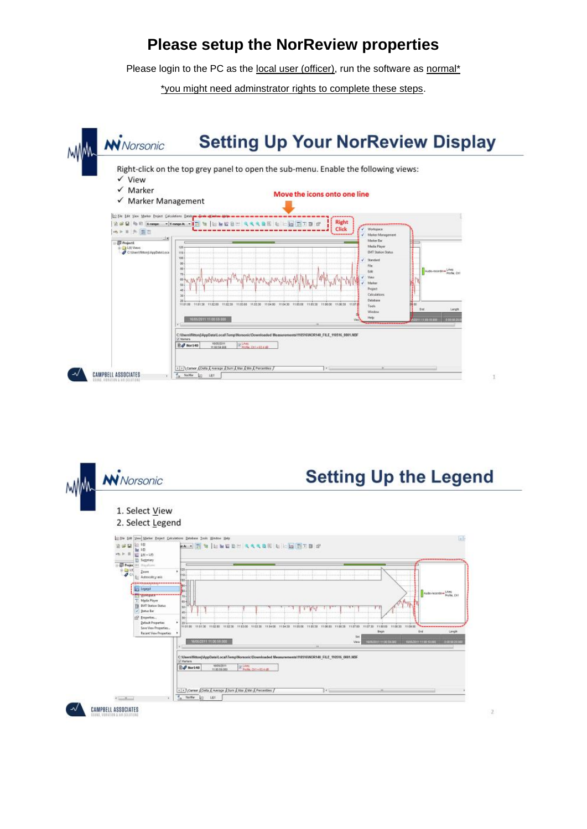# **Please setup the NorReview properties**

Please login to the PC as the local user (officer), run the software as normal\*

\*you might need adminstrator rights to complete these steps.